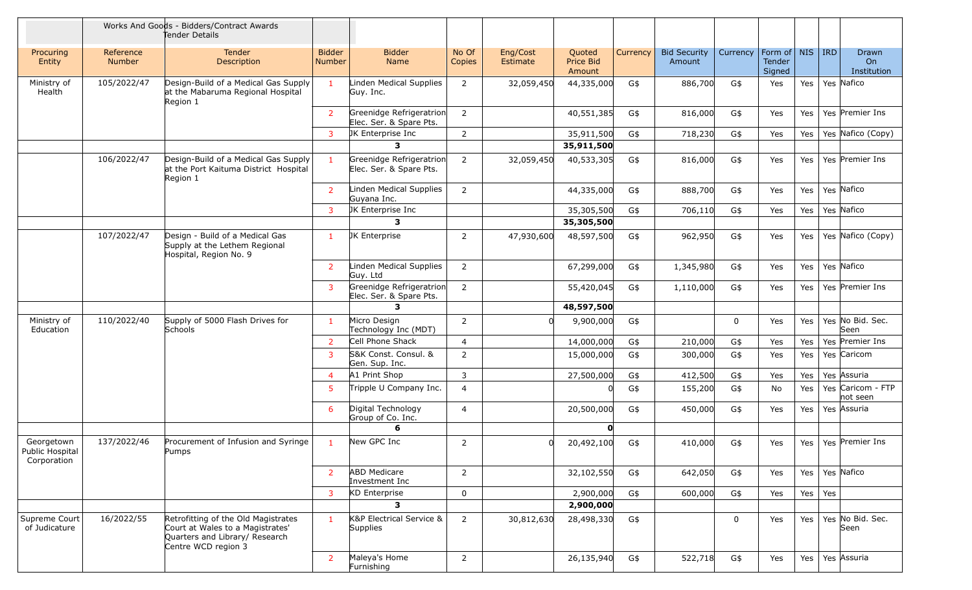|                                              |                     | Works And Goods - Bidders/Contract Awards<br>Tender Details                                                                      |                                |                                                     |                 |                      |                               |          |                               |          |                             |           |     |                               |
|----------------------------------------------|---------------------|----------------------------------------------------------------------------------------------------------------------------------|--------------------------------|-----------------------------------------------------|-----------------|----------------------|-------------------------------|----------|-------------------------------|----------|-----------------------------|-----------|-----|-------------------------------|
| Procuring<br>Entity                          | Reference<br>Number | Tender<br>Description                                                                                                            | <b>Bidder</b><br><b>Number</b> | <b>Bidder</b><br>Name                               | No Of<br>Copies | Eng/Cost<br>Estimate | Quoted<br>Price Bid<br>Amount | Currency | <b>Bid Security</b><br>Amount | Currency | Form of<br>Tender<br>Signed | NIS   IRD |     | Drawn<br>On<br>Institution    |
| Ministry of<br>Health                        | 105/2022/47         | Design-Build of a Medical Gas Supply<br>at the Mabaruma Regional Hospital<br>Region 1                                            | $\mathbf{1}$                   | Linden Medical Supplies<br>Guy. Inc.                | 2               | 32,059,450           | 44,335,000                    | G\$      | 886,700                       | G\$      | Yes                         | Yes       |     | Yes Nafico                    |
|                                              |                     |                                                                                                                                  | $\overline{2}$                 | Greenidge Refrigeratrion<br>Elec. Ser. & Spare Pts. | $\overline{2}$  |                      | 40,551,385                    | G\$      | 816,000                       | G\$      | Yes                         | Yes       |     | Yes Premier Ins               |
|                                              |                     |                                                                                                                                  | 3                              | JK Enterprise Inc                                   | 2               |                      | 35,911,500                    | G\$      | 718,230                       | G\$      | Yes                         | Yes       |     | Yes Nafico (Copy)             |
|                                              |                     |                                                                                                                                  |                                | 3                                                   |                 |                      | 35,911,500                    |          |                               |          |                             |           |     |                               |
|                                              | 106/2022/47         | Design-Build of a Medical Gas Supply<br>at the Port Kaituma District Hospital<br>Region 1                                        | $\mathbf{1}$                   | Greenidge Refrigeratrion<br>Elec. Ser. & Spare Pts. | $\overline{2}$  | 32,059,450           | 40,533,305                    | G\$      | 816,000                       | G\$      | Yes                         | Yes       |     | Yes Premier Ins               |
|                                              |                     |                                                                                                                                  | $\overline{2}$                 | Linden Medical Supplies<br>Guyana Inc.              | 2               |                      | 44,335,000                    | G\$      | 888,700                       | G\$      | Yes                         | Yes       |     | Yes Nafico                    |
|                                              |                     |                                                                                                                                  | $\overline{3}$                 | JK Enterprise Inc                                   |                 |                      | 35,305,500                    | G\$      | 706,110                       | G\$      | Yes                         | Yes       |     | Yes Nafico                    |
|                                              |                     |                                                                                                                                  |                                | 3                                                   |                 |                      | 35,305,500                    |          |                               |          |                             |           |     |                               |
|                                              | 107/2022/47         | Design - Build of a Medical Gas<br>Supply at the Lethem Regional<br>Hospital, Region No. 9                                       | $\mathbf{1}$                   | JK Enterprise                                       | 2               | 47,930,600           | 48,597,500                    | G\$      | 962,950                       | G\$      | Yes                         | Yes       |     | Yes Nafico (Copy)             |
|                                              |                     |                                                                                                                                  | $\overline{2}$                 | Linden Medical Supplies<br>Guy. Ltd                 | $\overline{2}$  |                      | 67,299,000                    | G\$      | 1,345,980                     | G\$      | Yes                         | Yes       |     | Yes Nafico                    |
|                                              |                     |                                                                                                                                  | 3                              | Greenidge Refrigeratrion<br>Elec. Ser. & Spare Pts. | $\overline{2}$  |                      | 55,420,045                    | G\$      | 1,110,000                     | G\$      | Yes                         | Yes       |     | Yes Premier Ins               |
|                                              |                     |                                                                                                                                  |                                | 3                                                   |                 |                      | 48,597,500                    |          |                               |          |                             |           |     |                               |
| Ministry of<br>Education                     | 110/2022/40         | Supply of 5000 Flash Drives for<br>Schools                                                                                       | $\mathbf{1}$                   | Micro Design<br>Technology Inc (MDT)                | 2               |                      | 9,900,000                     | G\$      |                               | 0        | Yes                         | Yes       |     | Yes No Bid. Sec.<br>Seen      |
|                                              |                     |                                                                                                                                  | $\overline{2}$                 | Cell Phone Shack                                    | $\overline{4}$  |                      | 14,000,000                    | G\$      | 210,000                       | G\$      | Yes                         | Yes       |     | Yes Premier Ins               |
|                                              |                     |                                                                                                                                  | 3                              | S&K Const. Consul. &<br>Gen. Sup. Inc.              | 2               |                      | 15,000,000                    | G\$      | 300,000                       | G\$      | Yes                         | Yes       |     | Yes Caricom                   |
|                                              |                     |                                                                                                                                  | $\overline{4}$                 | A1 Print Shop                                       | 3               |                      | 27,500,000                    | G\$      | 412,500                       | G\$      | Yes                         | Yes       |     | Yes Assuria                   |
|                                              |                     |                                                                                                                                  | 5                              | Tripple U Company Inc.                              | $\overline{4}$  |                      |                               | G\$      | 155,200                       | G\$      | No                          | Yes       |     | Yes Caricom - FTP<br>not seen |
|                                              |                     |                                                                                                                                  | 6                              | Digital Technology<br>Group of Co. Inc.             | 4               |                      | 20,500,000                    | G\$      | 450,000                       | G\$      | Yes                         | Yes       |     | Yes Assuria                   |
|                                              |                     |                                                                                                                                  |                                | 6                                                   |                 |                      | $\mathbf{O}$                  |          |                               |          |                             |           |     |                               |
| Georgetown<br>Public Hospital<br>Corporation | 137/2022/46         | Procurement of Infusion and Syringe<br>Pumps                                                                                     | $\mathbf{1}$                   | New GPC Inc                                         | 2               |                      | 20,492,100                    | G\$      | 410,000                       | G\$      | Yes                         | Yes       |     | Yes Premier Ins               |
|                                              |                     |                                                                                                                                  | $\overline{2}$                 | <b>ABD Medicare</b><br>Investment Inc               | $\overline{2}$  |                      | 32,102,550                    | G\$      | 642,050                       | G\$      | Yes                         | Yes       |     | Yes Nafico                    |
|                                              |                     |                                                                                                                                  | $\overline{3}$                 | KD Enterprise                                       | $\mathbf 0$     |                      | 2,900,000                     | G\$      | 600,000                       | G\$      | Yes                         | Yes       | Yes |                               |
|                                              |                     |                                                                                                                                  |                                | 3                                                   |                 |                      | 2,900,000                     |          |                               |          |                             |           |     |                               |
| Supreme Court<br>of Judicature               | 16/2022/55          | Retrofitting of the Old Magistrates<br>Court at Wales to a Magistrates'<br>Quarters and Library/ Research<br>Centre WCD region 3 | $\mathbf{1}$                   | K&P Electrical Service &<br>Supplies                | 2               | 30,812,630           | 28,498,330                    | G\$      |                               | 0        | Yes                         | Yes       |     | Yes No Bid. Sec.<br>Seen      |
|                                              |                     |                                                                                                                                  | $\overline{2}$                 | Maleya's Home<br>Furnishing                         | $\overline{2}$  |                      | 26,135,940                    | G\$      | 522,718                       | G\$      | Yes                         | Yes       |     | Yes Assuria                   |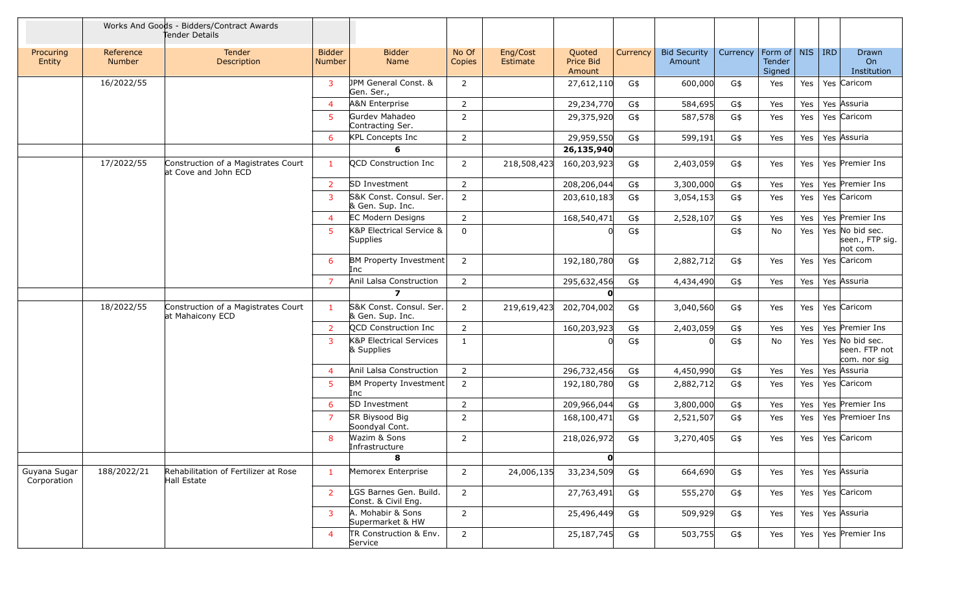|                             |                            | Works And Goods - Bidders/Contract Awards<br>Tender Details |                                |                                               |                 |                      |                               |          |                               |          |                                         |     |                                                  |
|-----------------------------|----------------------------|-------------------------------------------------------------|--------------------------------|-----------------------------------------------|-----------------|----------------------|-------------------------------|----------|-------------------------------|----------|-----------------------------------------|-----|--------------------------------------------------|
| Procuring<br>Entity         | Reference<br><b>Number</b> | <b>Tender</b><br>Description                                | <b>Bidder</b><br><b>Number</b> | <b>Bidder</b><br>Name                         | No Of<br>Copies | Eng/Cost<br>Estimate | Quoted<br>Price Bid<br>Amount | Currency | <b>Bid Security</b><br>Amount | Currency | Form of   NIS   IRD<br>Tender<br>Signed |     | Drawn<br>On<br>Institution                       |
|                             | 16/2022/55                 |                                                             | $\overline{3}$                 | JPM General Const. &<br>Gen. Ser.,            | 2               |                      | 27,612,110                    | G\$      | 600,000                       | G\$      | Yes                                     | Yes | Yes Caricom                                      |
|                             |                            |                                                             | $\overline{4}$                 | A&N Enterprise                                | $\overline{2}$  |                      | 29,234,770                    | G\$      | 584,695                       | G\$      | Yes                                     | Yes | Yes Assuria                                      |
|                             |                            |                                                             | -5                             | Gurdev Mahadeo<br>Contracting Ser.            | $\overline{2}$  |                      | 29,375,920                    | G\$      | 587,578                       | G\$      | Yes                                     | Yes | Yes Caricom                                      |
|                             |                            |                                                             | 6                              | KPL Concepts Inc                              | $\overline{2}$  |                      | 29,959,550                    | G\$      | 599,191                       | G\$      | Yes                                     | Yes | Yes Assuria                                      |
|                             |                            |                                                             |                                | 6                                             |                 |                      | 26,135,940                    |          |                               |          |                                         |     |                                                  |
|                             | 17/2022/55                 | Construction of a Magistrates Court<br>at Cove and John ECD | $\mathbf{1}$                   | QCD Construction Inc                          | 2               | 218,508,423          | 160,203,923                   | G\$      | 2,403,059                     | G\$      | Yes                                     | Yes | Yes Premier Ins                                  |
|                             |                            |                                                             | <sup>2</sup>                   | SD Investment                                 | 2               |                      | 208,206,044                   | G\$      | 3,300,000                     | G\$      | Yes                                     | Yes | Yes Premier Ins                                  |
|                             |                            |                                                             | 3                              | S&K Const. Consul. Ser.<br>& Gen. Sup. Inc.   | $\overline{2}$  |                      | 203,610,183                   | G\$      | 3,054,153                     | G\$      | Yes                                     | Yes | Yes Caricom                                      |
|                             |                            |                                                             | $\overline{4}$                 | <b>EC Modern Designs</b>                      | $\overline{2}$  |                      | 168,540,471                   | G\$      | 2,528,107                     | G\$      | Yes                                     | Yes | Yes Premier Ins                                  |
|                             |                            |                                                             | $5^{\circ}$                    | K&P Electrical Service &<br><b>Supplies</b>   | $\mathbf 0$     |                      |                               | $G\$     |                               | G\$      | No                                      | Yes | Yes No bid sec.<br>seen., FTP sig.<br>not com.   |
|                             |                            |                                                             | 6                              | <b>BM Property Investment</b><br>Inc          | 2               |                      | 192,180,780                   | G\$      | 2,882,712                     | G\$      | Yes                                     | Yes | Yes Caricom                                      |
|                             |                            |                                                             | $\overline{7}$                 | Anil Lalsa Construction                       | $\overline{2}$  |                      | 295,632,456                   | G\$      | 4,434,490                     | G\$      | Yes                                     | Yes | Yes Assuria                                      |
|                             |                            |                                                             |                                | $\overline{\mathbf{z}}$                       |                 |                      | $\mathbf{O}$                  |          |                               |          |                                         |     |                                                  |
|                             | 18/2022/55                 | Construction of a Magistrates Court<br>at Mahaicony ECD     | $\mathbf{1}$                   | S&K Const. Consul. Ser.<br>& Gen. Sup. Inc.   | $\overline{2}$  | 219,619,423          | 202,704,002                   | G\$      | 3,040,560                     | G\$      | Yes                                     | Yes | Yes Caricom                                      |
|                             |                            |                                                             | $\overline{2}$                 | QCD Construction Inc                          | $\overline{2}$  |                      | 160,203,923                   | G\$      | 2,403,059                     | G\$      | Yes                                     | Yes | Yes Premier Ins                                  |
|                             |                            |                                                             | $\overline{3}$                 | K&P Electrical Services<br>& Supplies         | 1               |                      |                               | G\$      |                               | G\$      | No                                      | Yes | Yes No bid sec.<br>seen. FTP not<br>com. nor sig |
|                             |                            |                                                             | $\overline{4}$                 | Anil Lalsa Construction                       | $\overline{2}$  |                      | 296,732,456                   | G\$      | 4,450,990                     | G\$      | Yes                                     | Yes | Yes Assuria                                      |
|                             |                            |                                                             | $\overline{5}$                 | <b>BM Property Investment</b><br>Inc.         | $\overline{2}$  |                      | 192,180,780                   | G\$      | 2,882,712                     | G\$      | Yes                                     | Yes | Yes Caricom                                      |
|                             |                            |                                                             | 6                              | SD Investment                                 | 2               |                      | 209,966,044                   | G\$      | 3,800,000                     | G\$      | Yes                                     | Yes | Yes Premier Ins                                  |
|                             |                            |                                                             | 7                              | SR Biysood Big<br>Soondyal Cont.              | $\overline{2}$  |                      | 168,100,471                   | G\$      | 2,521,507                     | G\$      | Yes                                     | Yes | Yes Premioer Ins                                 |
|                             |                            |                                                             | 8                              | Wazim & Sons<br>Infrastructure                | 2               |                      | 218,026,972                   | G\$      | 3,270,405                     | G\$      | Yes                                     | Yes | Yes Caricom                                      |
|                             |                            |                                                             |                                | 8                                             |                 |                      | $\mathbf{O}$                  |          |                               |          |                                         |     |                                                  |
| Guyana Sugar<br>Corporation | 188/2022/21                | Rehabilitation of Fertilizer at Rose<br>Hall Estate         | $\mathbf{1}$                   | Memorex Enterprise                            | $\overline{2}$  | 24,006,135           | 33,234,509                    | G\$      | 664,690                       | G\$      | Yes                                     | Yes | Yes Assuria                                      |
|                             |                            |                                                             | <sup>2</sup>                   | LGS Barnes Gen. Build.<br>Const. & Civil Eng. | $\overline{2}$  |                      | 27,763,491                    | G\$      | 555,270                       | G\$      | Yes                                     | Yes | Yes Caricom                                      |
|                             |                            |                                                             | 3                              | A. Mohabir & Sons<br>Supermarket & HW         | $\overline{2}$  |                      | 25,496,449                    | G\$      | 509,929                       | G\$      | Yes                                     | Yes | Yes Assuria                                      |
|                             |                            |                                                             | $\overline{4}$                 | TR Construction & Env.<br>Service             | $\overline{2}$  |                      | 25,187,745                    | G\$      | 503,755                       | G\$      | Yes                                     | Yes | Yes Premier Ins                                  |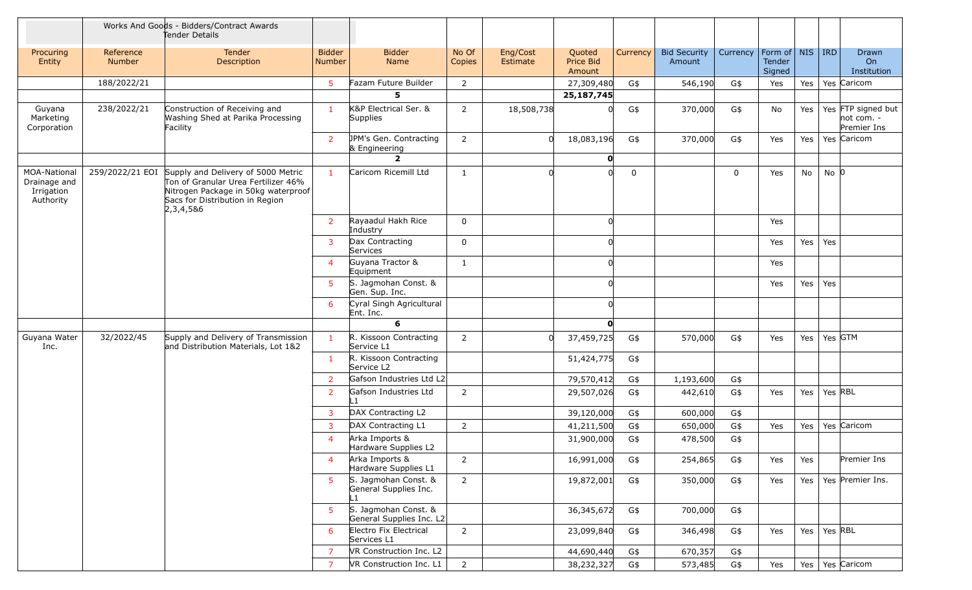|                                                                |                     | Works And Goods - Bidders/Contract Awards<br>Tender Details                                                                                                                      |                         |                                                  |                 |                      |                               |          |                               |          |                                                     |     |           |                                                   |
|----------------------------------------------------------------|---------------------|----------------------------------------------------------------------------------------------------------------------------------------------------------------------------------|-------------------------|--------------------------------------------------|-----------------|----------------------|-------------------------------|----------|-------------------------------|----------|-----------------------------------------------------|-----|-----------|---------------------------------------------------|
| Procuring<br>Entity                                            | Reference<br>Number | Tender<br>Description                                                                                                                                                            | <b>Bidder</b><br>Number | <b>Bidder</b><br>Name                            | No Of<br>Copies | Eng/Cost<br>Estimate | Quoted<br>Price Bid<br>Amount | Currency | <b>Bid Security</b><br>Amount | Currency | Form of $\vert$ NIS $\vert$ IRD<br>Tender<br>Signed |     |           | Drawn<br>O <sub>n</sub><br>Institution            |
|                                                                | 188/2022/21         |                                                                                                                                                                                  | $\overline{5}$          | Fazam Future Builder                             | 2               |                      | 27,309,480                    | G\$      | 546,190                       | G\$      | Yes                                                 | Yes |           | Yes Caricom                                       |
|                                                                |                     |                                                                                                                                                                                  |                         | 5.                                               |                 |                      | 25,187,745                    |          |                               |          |                                                     |     |           |                                                   |
| Guyana<br>Marketing<br>Corporation                             | 238/2022/21         | Construction of Receiving and<br>Washing Shed at Parika Processing<br>Facility                                                                                                   | $\mathbf{1}$            | K&P Electrical Ser. &<br><b>Supplies</b>         | 2               | 18,508,738           |                               | G\$      | 370,000                       | G\$      | No                                                  | Yes |           | Yes FTP signed but<br>$not com. -$<br>Premier Ins |
|                                                                |                     |                                                                                                                                                                                  | $\overline{2}$          | JPM's Gen. Contracting<br>& Engineering          | $\overline{2}$  |                      | 18,083,196                    | G\$      | 370,000                       | G\$      | Yes                                                 | Yes |           | Yes Caricom                                       |
|                                                                |                     |                                                                                                                                                                                  |                         | $\overline{2}$                                   |                 |                      | $\mathbf{0}$                  |          |                               |          |                                                     |     |           |                                                   |
| <b>MOA-National</b><br>Drainage and<br>Irrigation<br>Authority |                     | 259/2022/21 EOI Supply and Delivery of 5000 Metric<br>Ton of Granular Urea Fertilizer 46%<br>Nitrogen Package in 50kg waterproof<br>Sacs for Distribution in Region<br>2,3,4,5&6 | $\mathbf{1}$            | Caricom Ricemill Ltd                             | $\mathbf{1}$    |                      |                               | 0        |                               | 0        | Yes                                                 | No  | $No$ $ 0$ |                                                   |
|                                                                |                     |                                                                                                                                                                                  | $\overline{2}$          | Rayaadul Hakh Rice<br>Industry                   | $\mathbf 0$     |                      |                               |          |                               |          | Yes                                                 |     |           |                                                   |
|                                                                |                     |                                                                                                                                                                                  | 3                       | Dax Contracting<br>Services                      | $\mathbf 0$     |                      |                               |          |                               |          | Yes                                                 | Yes | Yes       |                                                   |
|                                                                |                     |                                                                                                                                                                                  | $\overline{4}$          | Guyana Tractor &<br>Equipment                    | 1               |                      |                               |          |                               |          | Yes                                                 |     |           |                                                   |
|                                                                |                     |                                                                                                                                                                                  | 5                       | S. Jagmohan Const. &<br>Gen. Sup. Inc.           |                 |                      |                               |          |                               |          | Yes                                                 | Yes | Yes       |                                                   |
|                                                                |                     |                                                                                                                                                                                  | 6                       | Cyral Singh Agricultural<br>Ent. Inc.            |                 |                      |                               |          |                               |          |                                                     |     |           |                                                   |
|                                                                |                     |                                                                                                                                                                                  |                         | 6                                                |                 |                      |                               |          |                               |          |                                                     |     |           |                                                   |
| Guyana Water<br>Inc.                                           | 32/2022/45          | Supply and Delivery of Transmission<br>and Distribution Materials, Lot 1&2                                                                                                       | $\mathbf{1}$            | R. Kissoon Contracting<br>Service L1             | 2               |                      | 37,459,725                    | G\$      | 570,000                       | G\$      | Yes                                                 | Yes | Yes GTM   |                                                   |
|                                                                |                     |                                                                                                                                                                                  | $\mathbf{1}$            | R. Kissoon Contracting<br>Service L2             |                 |                      | 51,424,775                    | G\$      |                               |          |                                                     |     |           |                                                   |
|                                                                |                     |                                                                                                                                                                                  | $\overline{2}$          | Gafson Industries Ltd L2                         |                 |                      | 79,570,412                    | $G\$     | 1,193,600                     | G\$      |                                                     |     |           |                                                   |
|                                                                |                     |                                                                                                                                                                                  | $\overline{2}$          | Gafson Industries Ltd                            | $\overline{2}$  |                      | 29,507,026                    | G\$      | 442,610                       | G\$      | Yes                                                 | Yes | Yes RBL   |                                                   |
|                                                                |                     |                                                                                                                                                                                  | 3                       | DAX Contracting L2                               |                 |                      | 39,120,000                    | G\$      | 600,000                       | G\$      |                                                     |     |           |                                                   |
|                                                                |                     |                                                                                                                                                                                  | 3                       | DAX Contracting L1                               | 2               |                      | 41,211,500                    | G\$      | 650,000                       | G\$      | Yes                                                 | Yes |           | Yes Caricom                                       |
|                                                                |                     |                                                                                                                                                                                  | $\overline{4}$          | Arka Imports &<br>Hardware Supplies L2           |                 |                      | 31,900,000                    | G\$      | 478,500                       | G\$      |                                                     |     |           |                                                   |
|                                                                |                     |                                                                                                                                                                                  | $\overline{4}$          | Arka Imports &<br>Hardware Supplies L1           | $\overline{2}$  |                      | 16,991,000                    | G\$      | 254,865                       | G\$      | Yes                                                 | Yes |           | Premier Ins                                       |
|                                                                |                     |                                                                                                                                                                                  | 5                       | S. Jagmohan Const. &<br>General Supplies Inc.    | $\overline{2}$  |                      | 19,872,001                    | G\$      | 350,000                       | G\$      | Yes                                                 | Yes |           | Yes Premier Ins.                                  |
|                                                                |                     |                                                                                                                                                                                  | 5                       | S. Jagmohan Const. &<br>General Supplies Inc. L2 |                 |                      | 36,345,672                    | G\$      | 700,000                       | G\$      |                                                     |     |           |                                                   |
|                                                                |                     |                                                                                                                                                                                  | 6                       | Electro Fix Electrical<br>Services L1            | $\overline{2}$  |                      | 23,099,840                    | G\$      | 346,498                       | G\$      | Yes                                                 | Yes | Yes RBL   |                                                   |
|                                                                |                     |                                                                                                                                                                                  | $\overline{7}$          | VR Construction Inc. L2                          |                 |                      | 44,690,440                    | G\$      | 670,357                       | G\$      |                                                     |     |           |                                                   |
|                                                                |                     |                                                                                                                                                                                  | $\overline{7}$          | VR Construction Inc. L1                          | $\overline{2}$  |                      | 38,232,327                    | G\$      | 573,485                       | G\$      | Yes                                                 |     |           | Yes   Yes   Caricom                               |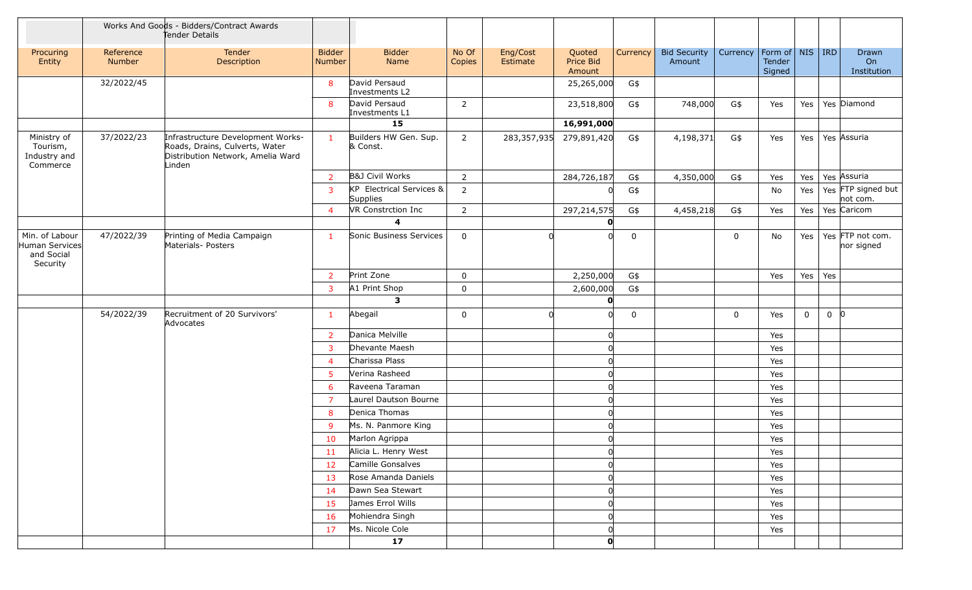|                                                            | Works And Goods - Bidders/Contract Awards<br>Tender Details |                                                                                                                    |                         |                                      |                 |                      |                               |             |                               |          |                                                     |             |          |                                |
|------------------------------------------------------------|-------------------------------------------------------------|--------------------------------------------------------------------------------------------------------------------|-------------------------|--------------------------------------|-----------------|----------------------|-------------------------------|-------------|-------------------------------|----------|-----------------------------------------------------|-------------|----------|--------------------------------|
| Procuring<br>Entity                                        | Reference<br>Number                                         | Tender<br>Description                                                                                              | <b>Bidder</b><br>Number | <b>Bidder</b><br>Name                | No Of<br>Copies | Eng/Cost<br>Estimate | Quoted<br>Price Bid<br>Amount | Currency    | <b>Bid Security</b><br>Amount | Currency | Form of $\vert$ NIS $\vert$ IRD<br>Tender<br>Signed |             |          | Drawn<br>On<br>Institution     |
|                                                            | 32/2022/45                                                  |                                                                                                                    | 8                       | David Persaud<br>Investments L2      |                 |                      | 25,265,000                    | G\$         |                               |          |                                                     |             |          |                                |
|                                                            |                                                             |                                                                                                                    | 8                       | David Persaud<br>Investments L1      | $\overline{2}$  |                      | 23,518,800                    | G\$         | 748,000                       | G\$      | Yes                                                 | Yes         |          | Yes Diamond                    |
|                                                            |                                                             |                                                                                                                    |                         | 15                                   |                 |                      | 16,991,000                    |             |                               |          |                                                     |             |          |                                |
| Ministry of<br>Tourism,<br>Industry and<br>Commerce        | 37/2022/23                                                  | Infrastructure Development Works-<br>Roads, Drains, Culverts, Water<br>Distribution Network, Amelia Ward<br>Linden | $\mathbf{1}$            | Builders HW Gen. Sup.<br>& Const.    | $\overline{2}$  | 283,357,935          | 279,891,420                   | G\$         | 4,198,371                     | G\$      | Yes                                                 | Yes         |          | Yes Assuria                    |
|                                                            |                                                             |                                                                                                                    | $\overline{2}$          | <b>B&amp;J Civil Works</b>           | $\overline{2}$  |                      | 284,726,187                   | G\$         | 4,350,000                     | G\$      | Yes                                                 | Yes         |          | Yes Assuria                    |
|                                                            |                                                             |                                                                                                                    | 3                       | KP Electrical Services &<br>Supplies | $\overline{2}$  |                      |                               | G\$         |                               |          | No                                                  | Yes         |          | Yes FTP signed but<br>not com. |
|                                                            |                                                             |                                                                                                                    | $\overline{4}$          | VR Constrction Inc                   | $\overline{2}$  |                      | 297,214,575                   | G\$         | 4,458,218                     | G\$      | Yes                                                 | Yes         |          | Yes Caricom                    |
|                                                            |                                                             |                                                                                                                    |                         | 4                                    |                 |                      | $\mathbf{0}$                  |             |                               |          |                                                     |             |          |                                |
| Min. of Labour<br>Human Services<br>and Social<br>Security | 47/2022/39                                                  | Printing of Media Campaign<br>Materials- Posters                                                                   | $\mathbf{1}$            | Sonic Business Services              | $\mathbf 0$     |                      |                               | 0           |                               | 0        | No                                                  | Yes         |          | Yes FTP not com.<br>nor signed |
|                                                            |                                                             |                                                                                                                    | $\overline{2}$          | Print Zone                           | $\mathbf 0$     |                      | 2,250,000                     | G\$         |                               |          | Yes                                                 | Yes         | Yes      |                                |
|                                                            |                                                             |                                                                                                                    | 3                       | A1 Print Shop                        | $\mathbf 0$     |                      | 2,600,000                     | G\$         |                               |          |                                                     |             |          |                                |
|                                                            |                                                             |                                                                                                                    |                         | $\mathbf{3}$                         |                 |                      | $\mathbf{O}$                  |             |                               |          |                                                     |             |          |                                |
|                                                            | 54/2022/39                                                  | Recruitment of 20 Survivors'<br>Advocates                                                                          | $\mathbf{1}$            | Abegail                              | $\mathbf 0$     |                      |                               | $\mathbf 0$ |                               | 0        | Yes                                                 | $\mathbf 0$ | $0$ $ 0$ |                                |
|                                                            |                                                             |                                                                                                                    | $\overline{2}$          | Danica Melville                      |                 |                      |                               |             |                               |          | Yes                                                 |             |          |                                |
|                                                            |                                                             |                                                                                                                    | 3                       | Dhevante Maesh                       |                 |                      |                               |             |                               |          | Yes                                                 |             |          |                                |
|                                                            |                                                             |                                                                                                                    | $\overline{4}$          | Charissa Plass                       |                 |                      |                               |             |                               |          | Yes                                                 |             |          |                                |
|                                                            |                                                             |                                                                                                                    | $5\phantom{.0}$         | Verina Rasheed                       |                 |                      |                               |             |                               |          | Yes                                                 |             |          |                                |
|                                                            |                                                             |                                                                                                                    | 6                       | Raveena Taraman                      |                 |                      |                               |             |                               |          | Yes                                                 |             |          |                                |
|                                                            |                                                             |                                                                                                                    | $\overline{7}$          | Laurel Dautson Bourne                |                 |                      |                               |             |                               |          | Yes                                                 |             |          |                                |
|                                                            |                                                             |                                                                                                                    | 8                       | Denica Thomas                        |                 |                      |                               |             |                               |          | Yes                                                 |             |          |                                |
|                                                            |                                                             |                                                                                                                    | 9                       | Ms. N. Panmore King                  |                 |                      |                               |             |                               |          | Yes                                                 |             |          |                                |
|                                                            |                                                             |                                                                                                                    | 10                      | Marlon Agrippa                       |                 |                      |                               |             |                               |          | Yes                                                 |             |          |                                |
|                                                            |                                                             |                                                                                                                    | 11                      | Alicia L. Henry West                 |                 |                      | 0                             |             |                               |          | Yes                                                 |             |          |                                |
|                                                            |                                                             |                                                                                                                    | 12                      | Camille Gonsalves                    |                 |                      |                               |             |                               |          | Yes                                                 |             |          |                                |
|                                                            |                                                             |                                                                                                                    | 13                      | Rose Amanda Daniels                  |                 |                      |                               |             |                               |          | Yes                                                 |             |          |                                |
|                                                            |                                                             |                                                                                                                    | 14                      | Dawn Sea Stewart                     |                 |                      |                               |             |                               |          | Yes                                                 |             |          |                                |
|                                                            |                                                             |                                                                                                                    | 15                      | James Errol Wills                    |                 |                      |                               |             |                               |          | Yes                                                 |             |          |                                |
|                                                            |                                                             |                                                                                                                    | 16                      | Mohiendra Singh                      |                 |                      |                               |             |                               |          | Yes                                                 |             |          |                                |
|                                                            |                                                             |                                                                                                                    | 17                      | Ms. Nicole Cole                      |                 |                      |                               |             |                               |          | Yes                                                 |             |          |                                |
|                                                            |                                                             |                                                                                                                    |                         | 17                                   |                 |                      | $\mathbf{O}$                  |             |                               |          |                                                     |             |          |                                |